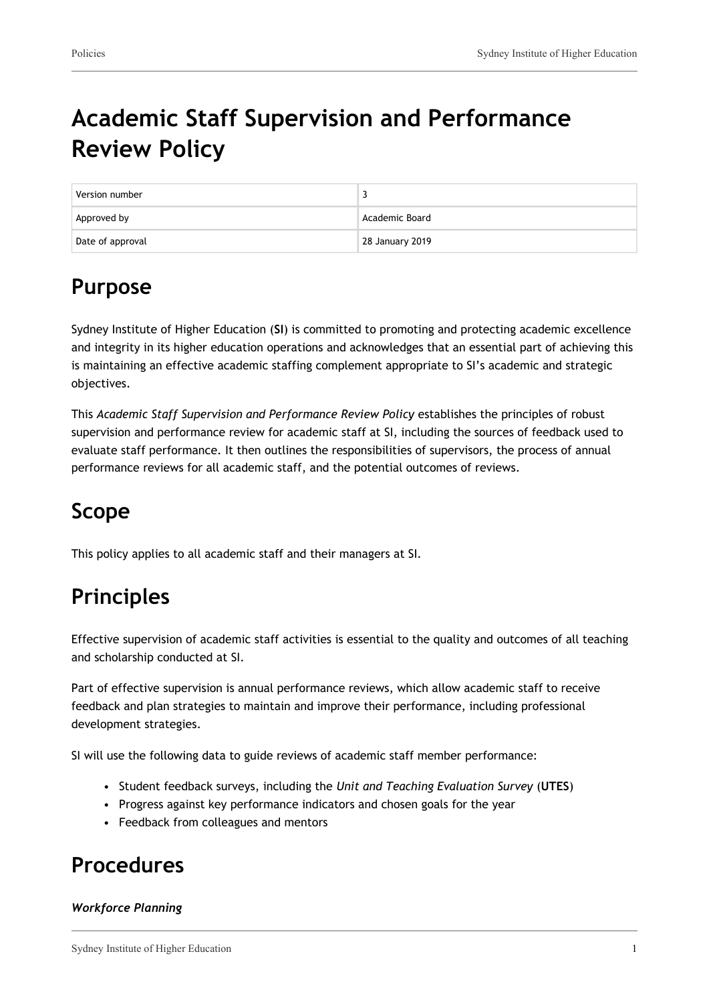# **Academic Staff Supervision and Performance Review Policy**

| Version number   |                 |
|------------------|-----------------|
| Approved by      | Academic Board  |
| Date of approval | 28 January 2019 |

## **Purpose**

Sydney Institute of Higher Education (**SI**) is committed to promoting and protecting academic excellence and integrity in its higher education operations and acknowledges that an essential part of achieving this is maintaining an effective academic staffing complement appropriate to SI's academic and strategic objectives.

This *Academic Staff Supervision and Performance Review Policy* establishes the principles of robust supervision and performance review for academic staff at SI, including the sources of feedback used to evaluate staff performance. It then outlines the responsibilities of supervisors, the process of annual performance reviews for all academic staff, and the potential outcomes of reviews.

### **Scope**

This policy applies to all academic staff and their managers at SI.

### **Principles**

Effective supervision of academic staff activities is essential to the quality and outcomes of all teaching and scholarship conducted at SI.

Part of effective supervision is annual performance reviews, which allow academic staff to receive feedback and plan strategies to maintain and improve their performance, including professional development strategies.

SI will use the following data to guide reviews of academic staff member performance:

- Student feedback surveys, including the *Unit and Teaching Evaluation Survey* (**UTES**)
- Progress against key performance indicators and chosen goals for the year
- Feedback from colleagues and mentors

### **Procedures**

#### *Workforce Planning*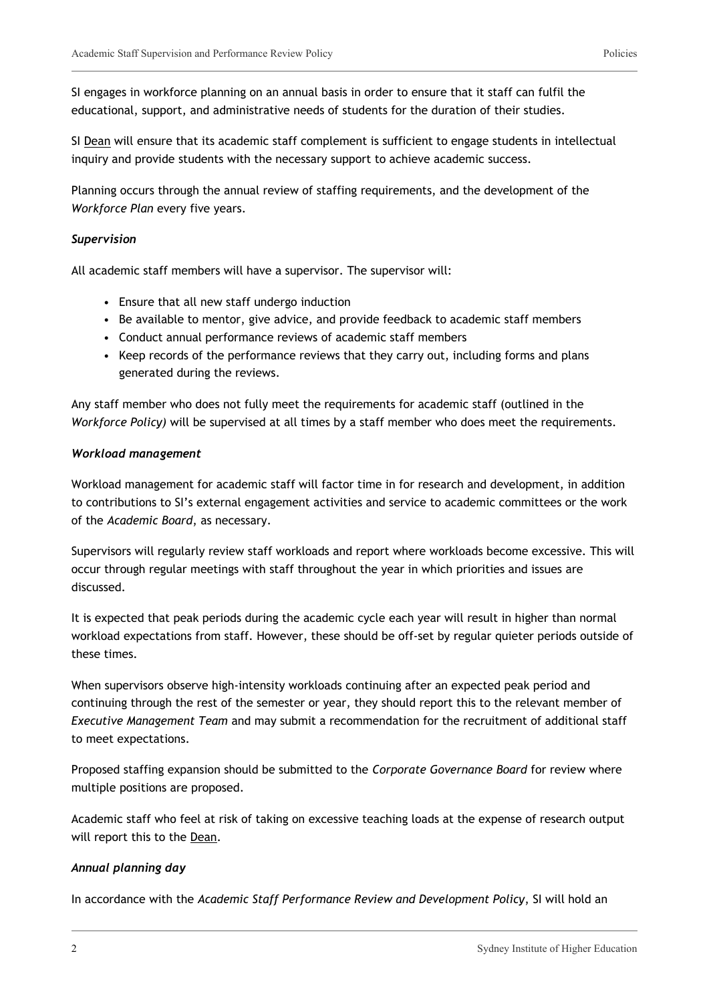SI engages in workforce planning on an annual basis in order to ensure that it staff can fulfil the educational, support, and administrative needs of students for the duration of their studies.

SI Dean will ensure that its academic staff complement is sufficient to engage students in intellectual inquiry and provide students with the necessary support to achieve academic success.

Planning occurs through the annual review of staffing requirements, and the development of the *Workforce Plan* every five years.

#### *Supervision*

All academic staff members will have a supervisor. The supervisor will:

- Ensure that all new staff undergo induction
- Be available to mentor, give advice, and provide feedback to academic staff members
- Conduct annual performance reviews of academic staff members
- Keep records of the performance reviews that they carry out, including forms and plans generated during the reviews.

Any staff member who does not fully meet the requirements for academic staff (outlined in the *Workforce Policy)* will be supervised at all times by a staff member who does meet the requirements.

#### *Workload management*

Workload management for academic staff will factor time in for research and development, in addition to contributions to SI's external engagement activities and service to academic committees or the work of the *Academic Board*, as necessary.

Supervisors will regularly review staff workloads and report where workloads become excessive. This will occur through regular meetings with staff throughout the year in which priorities and issues are discussed.

It is expected that peak periods during the academic cycle each year will result in higher than normal workload expectations from staff. However, these should be off-set by regular quieter periods outside of these times.

When supervisors observe high-intensity workloads continuing after an expected peak period and continuing through the rest of the semester or year, they should report this to the relevant member of *Executive Management Team* and may submit a recommendation for the recruitment of additional staff to meet expectations.

Proposed staffing expansion should be submitted to the *Corporate Governance Board* for review where multiple positions are proposed.

Academic staff who feel at risk of taking on excessive teaching loads at the expense of research output will report this to the Dean.

#### *Annual planning day*

In accordance with the *Academic Staff Performance Review and Development Policy*, SI will hold an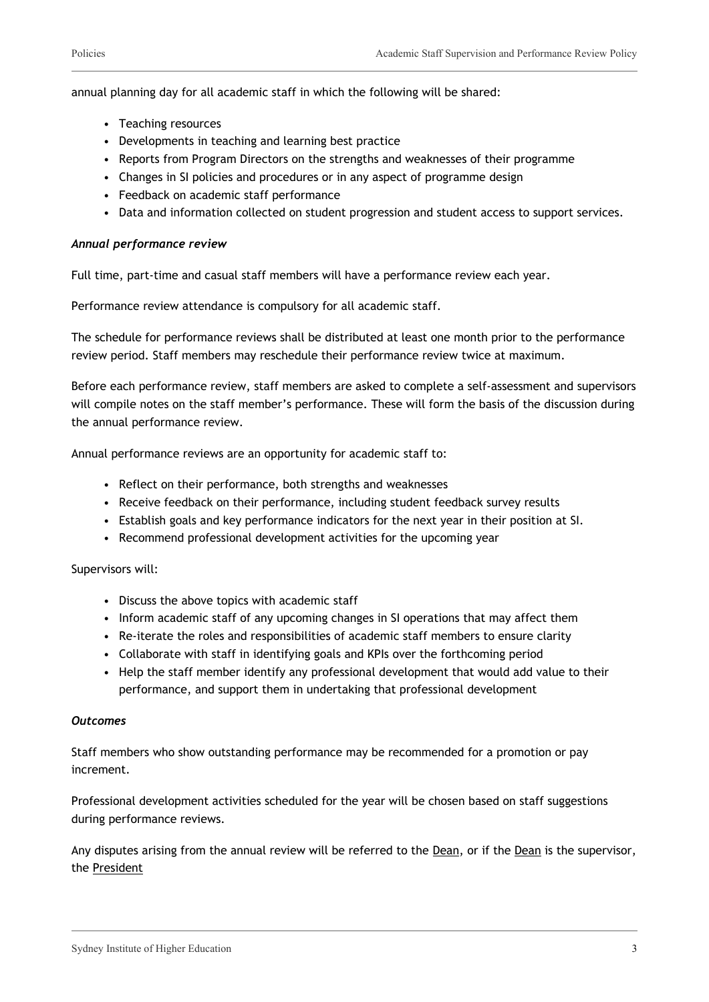annual planning day for all academic staff in which the following will be shared:

- Teaching resources
- Developments in teaching and learning best practice
- Reports from Program Directors on the strengths and weaknesses of their programme
- Changes in SI policies and procedures or in any aspect of programme design
- Feedback on academic staff performance
- Data and information collected on student progression and student access to support services.

#### *Annual performance review*

Full time, part-time and casual staff members will have a performance review each year.

Performance review attendance is compulsory for all academic staff.

The schedule for performance reviews shall be distributed at least one month prior to the performance review period. Staff members may reschedule their performance review twice at maximum.

Before each performance review, staff members are asked to complete a self-assessment and supervisors will compile notes on the staff member's performance. These will form the basis of the discussion during the annual performance review.

Annual performance reviews are an opportunity for academic staff to:

- Reflect on their performance, both strengths and weaknesses
- Receive feedback on their performance, including student feedback survey results
- Establish goals and key performance indicators for the next year in their position at SI.
- Recommend professional development activities for the upcoming year

Supervisors will:

- Discuss the above topics with academic staff
- Inform academic staff of any upcoming changes in SI operations that may affect them
- Re-iterate the roles and responsibilities of academic staff members to ensure clarity
- Collaborate with staff in identifying goals and KPIs over the forthcoming period
- Help the staff member identify any professional development that would add value to their performance, and support them in undertaking that professional development

#### *Outcomes*

Staff members who show outstanding performance may be recommended for a promotion or pay increment.

Professional development activities scheduled for the year will be chosen based on staff suggestions during performance reviews.

Any disputes arising from the annual review will be referred to the Dean, or if the Dean is the supervisor, the President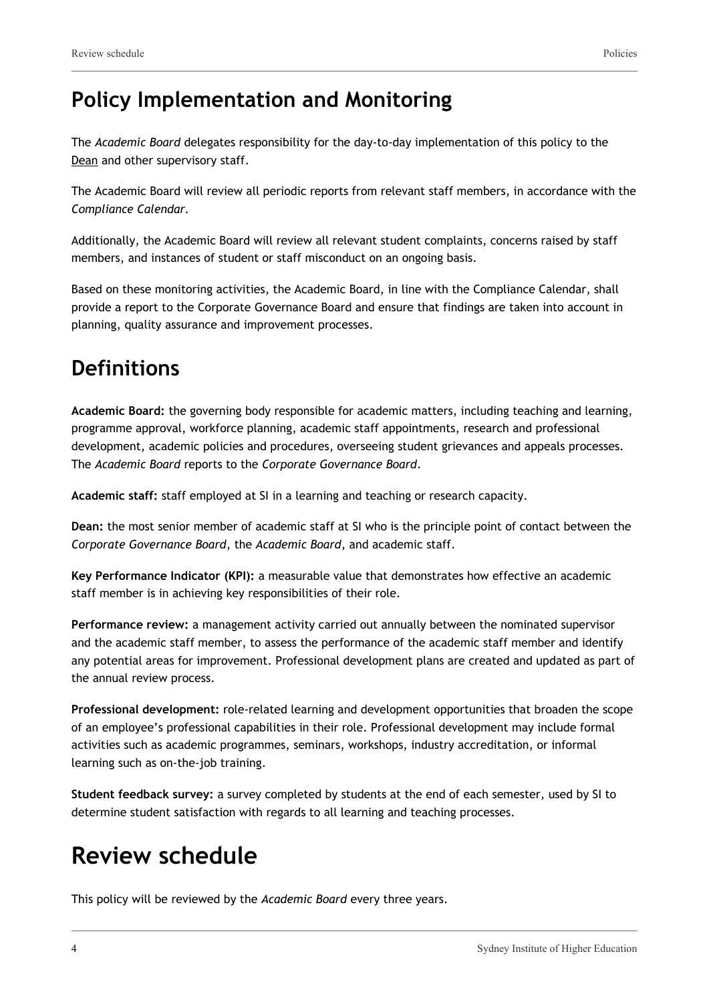### **Policy Implementation and Monitoring**

The *Academic Board* delegates responsibility for the day-to-day implementation of this policy to the Dean and other supervisory staff.

The Academic Board will review all periodic reports from relevant staff members, in accordance with the *Compliance Calendar.*

Additionally, the Academic Board will review all relevant student complaints, concerns raised by staff members, and instances of student or staff misconduct on an ongoing basis.

Based on these monitoring activities, the Academic Board, in line with the Compliance Calendar, shall provide a report to the Corporate Governance Board and ensure that findings are taken into account in planning, quality assurance and improvement processes.

### **Definitions**

**Academic Board:** the governing body responsible for academic matters, including teaching and learning, programme approval, workforce planning, academic staff appointments, research and professional development, academic policies and procedures, overseeing student grievances and appeals processes. The *Academic Board* reports to the *Corporate Governance Board*.

**Academic staff:** staff employed at SI in a learning and teaching or research capacity.

**Dean:** the most senior member of academic staff at SI who is the principle point of contact between the *Corporate Governance Board*, the *Academic Board*, and academic staff.

**Key Performance Indicator (KPI):** a measurable value that demonstrates how effective an academic staff member is in achieving key responsibilities of their role.

**Performance review:** a management activity carried out annually between the nominated supervisor and the academic staff member, to assess the performance of the academic staff member and identify any potential areas for improvement. Professional development plans are created and updated as part of the annual review process.

**Professional development:** role-related learning and development opportunities that broaden the scope of an employee's professional capabilities in their role. Professional development may include formal activities such as academic programmes, seminars, workshops, industry accreditation, or informal learning such as on-the-job training.

**Student feedback survey:** a survey completed by students at the end of each semester, used by SI to determine student satisfaction with regards to all learning and teaching processes.

# **Review schedule**

This policy will be reviewed by the *Academic Board* every three years.